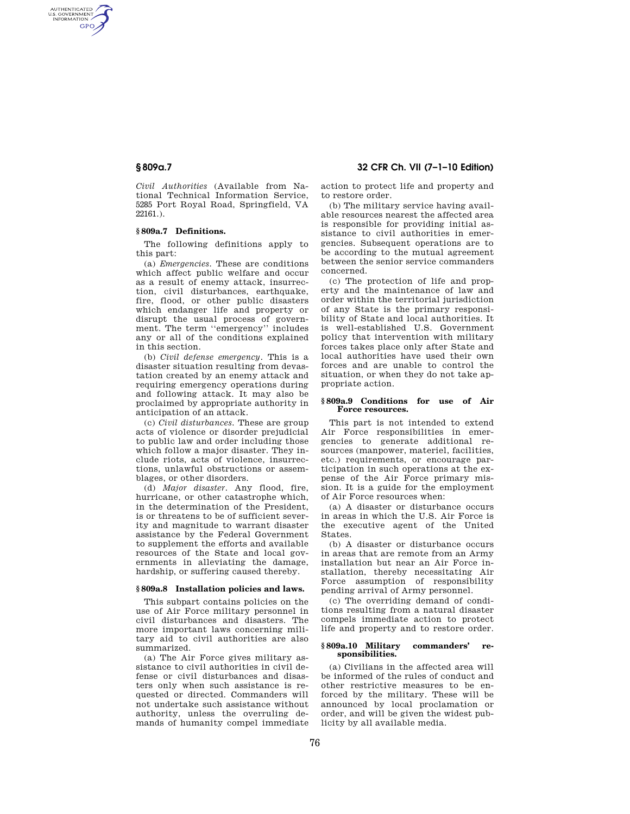AUTHENTICATED<br>U.S. GOVERNMENT<br>INFORMATION GPO

> *Civil Authorities* (Available from National Technical Information Service, 5285 Port Royal Road, Springfield, VA 22161.).

## **§ 809a.7 Definitions.**

The following definitions apply to this part:

(a) *Emergencies.* These are conditions which affect public welfare and occur as a result of enemy attack, insurrection, civil disturbances, earthquake, fire, flood, or other public disasters which endanger life and property or disrupt the usual process of government. The term ''emergency'' includes any or all of the conditions explained in this section.

(b) *Civil defense emergency.* This is a disaster situation resulting from devastation created by an enemy attack and requiring emergency operations during and following attack. It may also be proclaimed by appropriate authority in anticipation of an attack.

(c) *Civil disturbances.* These are group acts of violence or disorder prejudicial to public law and order including those which follow a major disaster. They include riots, acts of violence, insurrections, unlawful obstructions or assemblages, or other disorders.

(d) *Major disaster.* Any flood, fire, hurricane, or other catastrophe which, in the determination of the President, is or threatens to be of sufficient severity and magnitude to warrant disaster assistance by the Federal Government to supplement the efforts and available resources of the State and local governments in alleviating the damage, hardship, or suffering caused thereby.

## **§ 809a.8 Installation policies and laws.**

This subpart contains policies on the use of Air Force military personnel in civil disturbances and disasters. The more important laws concerning military aid to civil authorities are also summarized.

(a) The Air Force gives military assistance to civil authorities in civil defense or civil disturbances and disasters only when such assistance is requested or directed. Commanders will not undertake such assistance without authority, unless the overruling demands of humanity compel immediate

**§ 809a.7 32 CFR Ch. VII (7–1–10 Edition)** 

action to protect life and property and to restore order.

(b) The military service having available resources nearest the affected area is responsible for providing initial assistance to civil authorities in emergencies. Subsequent operations are to be according to the mutual agreement between the senior service commanders concerned.

(c) The protection of life and property and the maintenance of law and order within the territorial jurisdiction of any State is the primary responsibility of State and local authorities. It is well-established U.S. Government policy that intervention with military forces takes place only after State and local authorities have used their own forces and are unable to control the situation, or when they do not take appropriate action.

### **§ 809a.9 Conditions for use of Air Force resources.**

This part is not intended to extend Air Force responsibilities in emergencies to generate additional resources (manpower, materiel, facilities, etc.) requirements, or encourage participation in such operations at the expense of the Air Force primary mission. It is a guide for the employment of Air Force resources when:

(a) A disaster or disturbance occurs in areas in which the U.S. Air Force is the executive agent of the United States.

(b) A disaster or disturbance occurs in areas that are remote from an Army installation but near an Air Force installation, thereby necessitating Air Force assumption of responsibility pending arrival of Army personnel.

(c) The overriding demand of conditions resulting from a natural disaster compels immediate action to protect life and property and to restore order.

### **§ 809a.10 Military commanders' responsibilities.**

(a) Civilians in the affected area will be informed of the rules of conduct and other restrictive measures to be enforced by the military. These will be announced by local proclamation or order, and will be given the widest publicity by all available media.